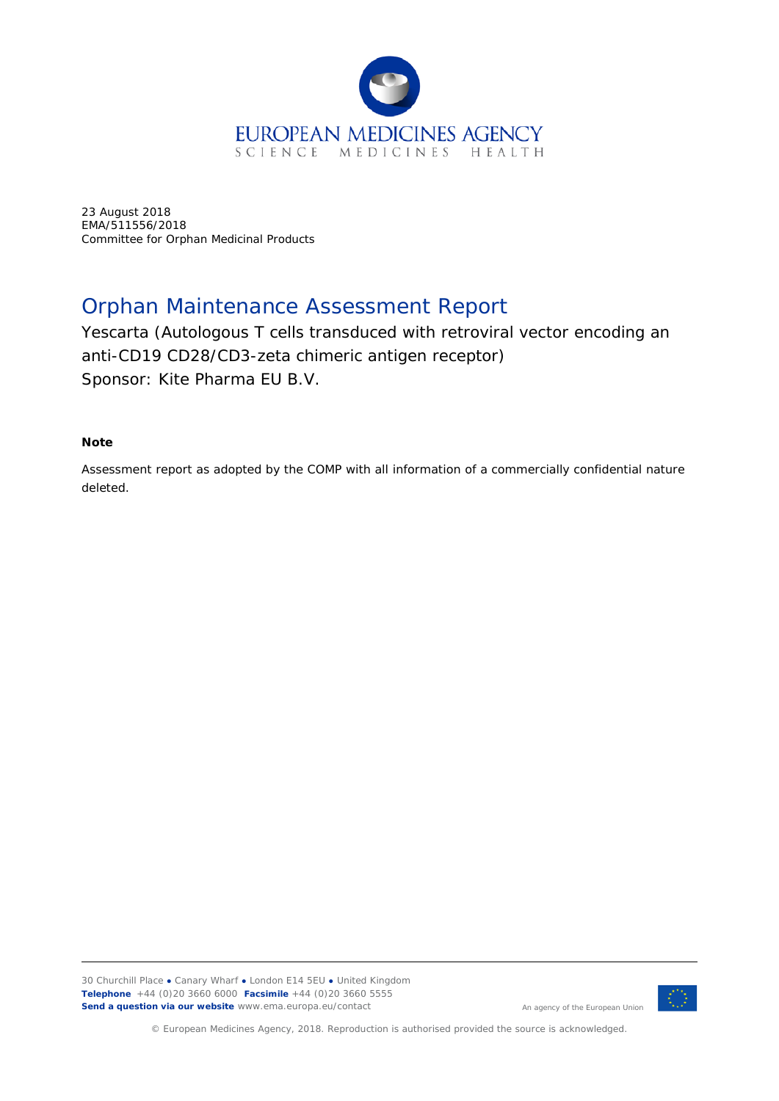

23 August 2018 EMA/511556/2018 Committee for Orphan Medicinal Products

# Orphan Maintenance Assessment Report

Yescarta (Autologous T cells transduced with retroviral vector encoding an anti-CD19 CD28/CD3-zeta chimeric antigen receptor) Sponsor: Kite Pharma EU B.V.

### **Note**

Assessment report as adopted by the COMP with all information of a commercially confidential nature deleted.

30 Churchill Place **●** Canary Wharf **●** London E14 5EU **●** United Kingdom **Telephone** +44 (0)20 3660 6000 **Facsimile** +44 (0)20 3660 5555 **Send a question via our website** www.ema.europa.eu/contact



An agency of the European Union

© European Medicines Agency, 2018. Reproduction is authorised provided the source is acknowledged.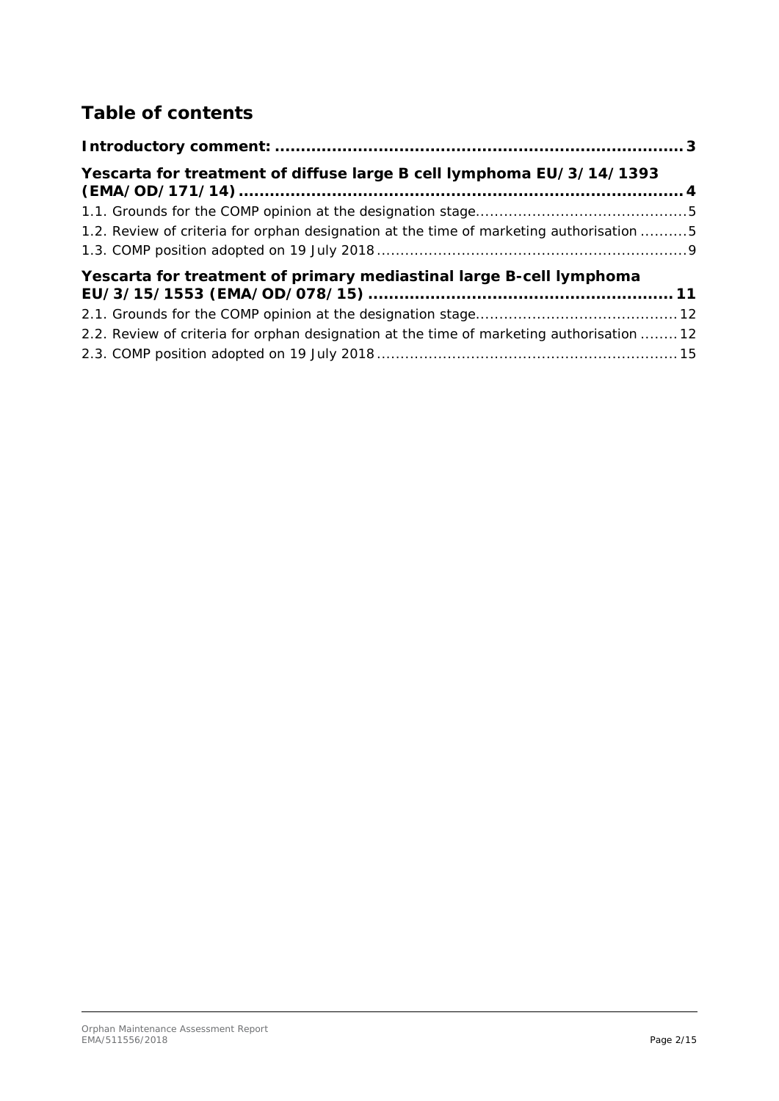# **Table of contents**

| Yescarta for treatment of diffuse large B cell lymphoma EU/3/14/1393                      |
|-------------------------------------------------------------------------------------------|
|                                                                                           |
| 1.2. Review of criteria for orphan designation at the time of marketing authorisation 5   |
|                                                                                           |
| Yescarta for treatment of primary mediastinal large B-cell lymphoma                       |
|                                                                                           |
|                                                                                           |
| 2.2. Review of criteria for orphan designation at the time of marketing authorisation  12 |
|                                                                                           |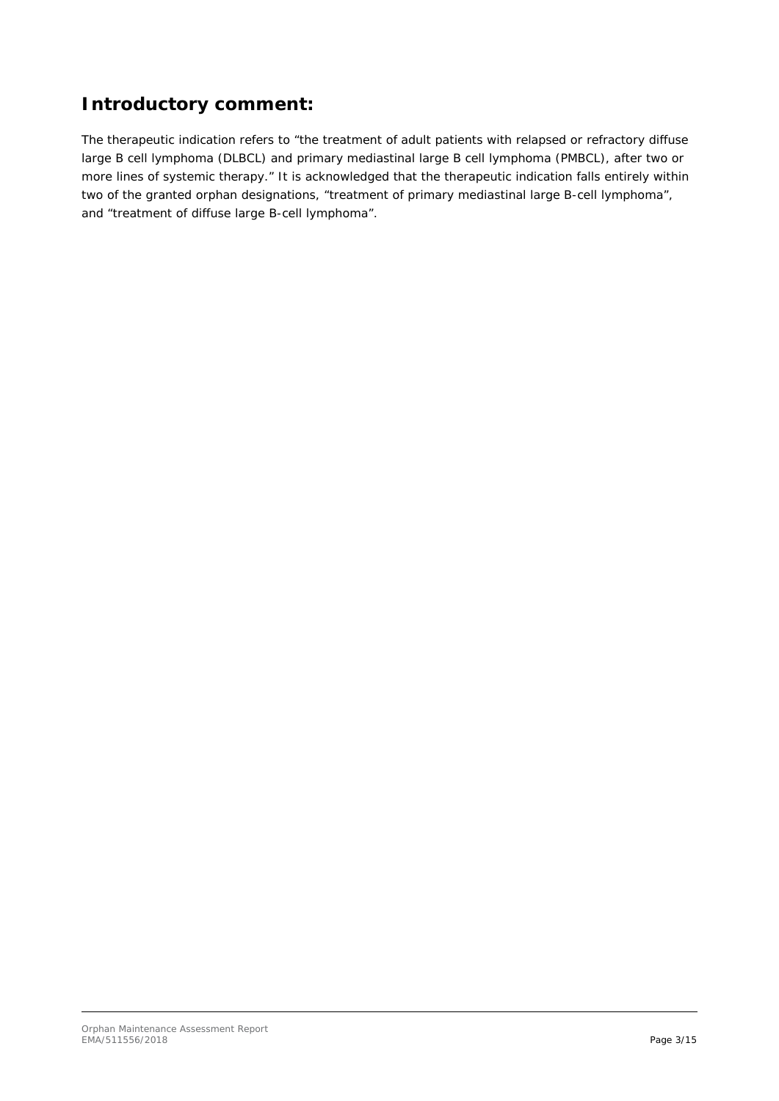# <span id="page-2-0"></span>**Introductory comment:**

The therapeutic indication refers to "the treatment of adult patients with relapsed or refractory diffuse large B cell lymphoma (DLBCL) and primary mediastinal large B cell lymphoma (PMBCL), after two or more lines of systemic therapy." It is acknowledged that the therapeutic indication falls entirely within two of the granted orphan designations, "treatment of primary mediastinal large B-cell lymphoma", and "treatment of diffuse large B-cell lymphoma".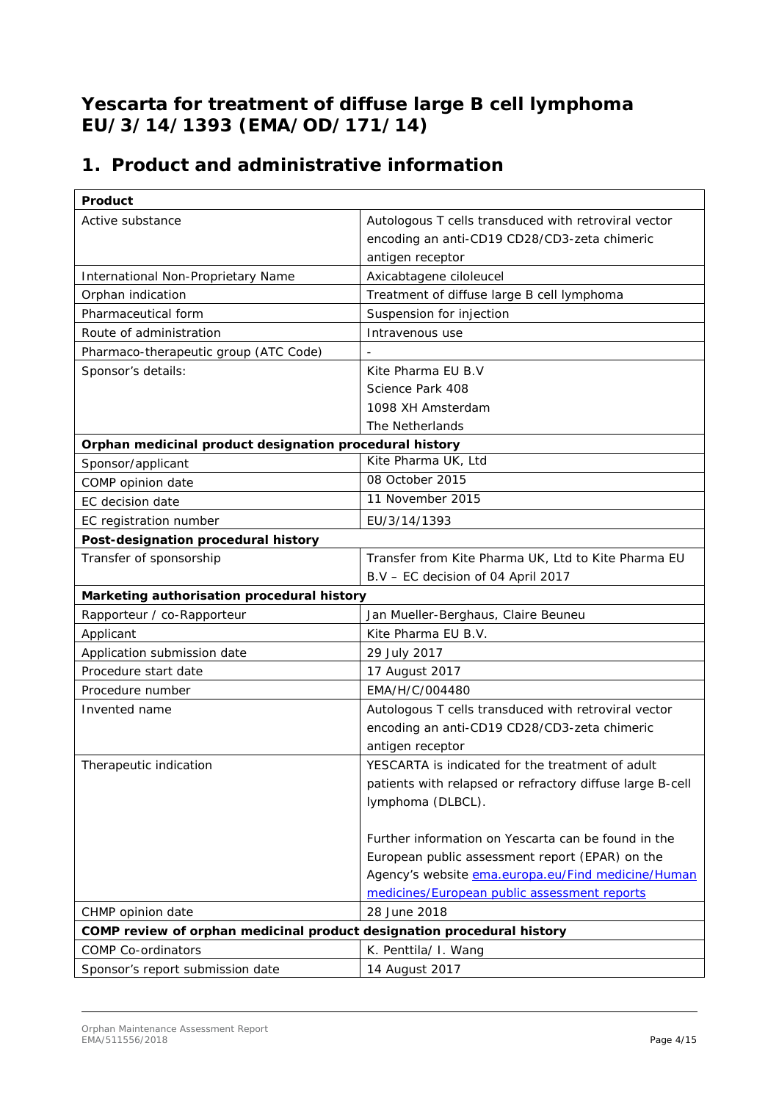# <span id="page-3-0"></span>**Yescarta for treatment of diffuse large B cell lymphoma EU/3/14/1393 (EMA/OD/171/14)**

# **1. Product and administrative information**

| Product                                                                |                                                           |  |  |
|------------------------------------------------------------------------|-----------------------------------------------------------|--|--|
| Active substance                                                       | Autologous T cells transduced with retroviral vector      |  |  |
|                                                                        | encoding an anti-CD19 CD28/CD3-zeta chimeric              |  |  |
|                                                                        | antigen receptor                                          |  |  |
| International Non-Proprietary Name                                     | Axicabtagene ciloleucel                                   |  |  |
| Orphan indication                                                      | Treatment of diffuse large B cell lymphoma                |  |  |
| Pharmaceutical form                                                    | Suspension for injection                                  |  |  |
| Route of administration                                                | Intravenous use                                           |  |  |
| Pharmaco-therapeutic group (ATC Code)                                  | $\blacksquare$                                            |  |  |
| Sponsor's details:                                                     | Kite Pharma EU B.V                                        |  |  |
|                                                                        | Science Park 408                                          |  |  |
|                                                                        | 1098 XH Amsterdam                                         |  |  |
|                                                                        | The Netherlands                                           |  |  |
| Orphan medicinal product designation procedural history                |                                                           |  |  |
| Sponsor/applicant                                                      | Kite Pharma UK, Ltd                                       |  |  |
| COMP opinion date                                                      | 08 October 2015                                           |  |  |
| EC decision date                                                       | 11 November 2015                                          |  |  |
| EC registration number                                                 | EU/3/14/1393                                              |  |  |
| Post-designation procedural history                                    |                                                           |  |  |
| Transfer of sponsorship                                                | Transfer from Kite Pharma UK, Ltd to Kite Pharma EU       |  |  |
|                                                                        | B.V - EC decision of 04 April 2017                        |  |  |
| Marketing authorisation procedural history                             |                                                           |  |  |
| Rapporteur / co-Rapporteur                                             | Jan Mueller-Berghaus, Claire Beuneu                       |  |  |
| Applicant                                                              | Kite Pharma EU B.V.                                       |  |  |
| Application submission date                                            | 29 July 2017                                              |  |  |
| Procedure start date                                                   | 17 August 2017                                            |  |  |
| Procedure number                                                       | EMA/H/C/004480                                            |  |  |
| Invented name                                                          | Autologous T cells transduced with retroviral vector      |  |  |
|                                                                        | encoding an anti-CD19 CD28/CD3-zeta chimeric              |  |  |
|                                                                        | antigen receptor                                          |  |  |
| Therapeutic indication                                                 | YESCARTA is indicated for the treatment of adult          |  |  |
|                                                                        | patients with relapsed or refractory diffuse large B-cell |  |  |
|                                                                        | lymphoma (DLBCL).                                         |  |  |
|                                                                        |                                                           |  |  |
|                                                                        | Further information on Yescarta can be found in the       |  |  |
|                                                                        | European public assessment report (EPAR) on the           |  |  |
|                                                                        | Agency's website ema.europa.eu/Find medicine/Human        |  |  |
|                                                                        | medicines/European public assessment reports              |  |  |
| CHMP opinion date                                                      | 28 June 2018                                              |  |  |
| COMP review of orphan medicinal product designation procedural history |                                                           |  |  |
| <b>COMP Co-ordinators</b>                                              | K. Penttila/ I. Wang                                      |  |  |
| Sponsor's report submission date                                       | 14 August 2017                                            |  |  |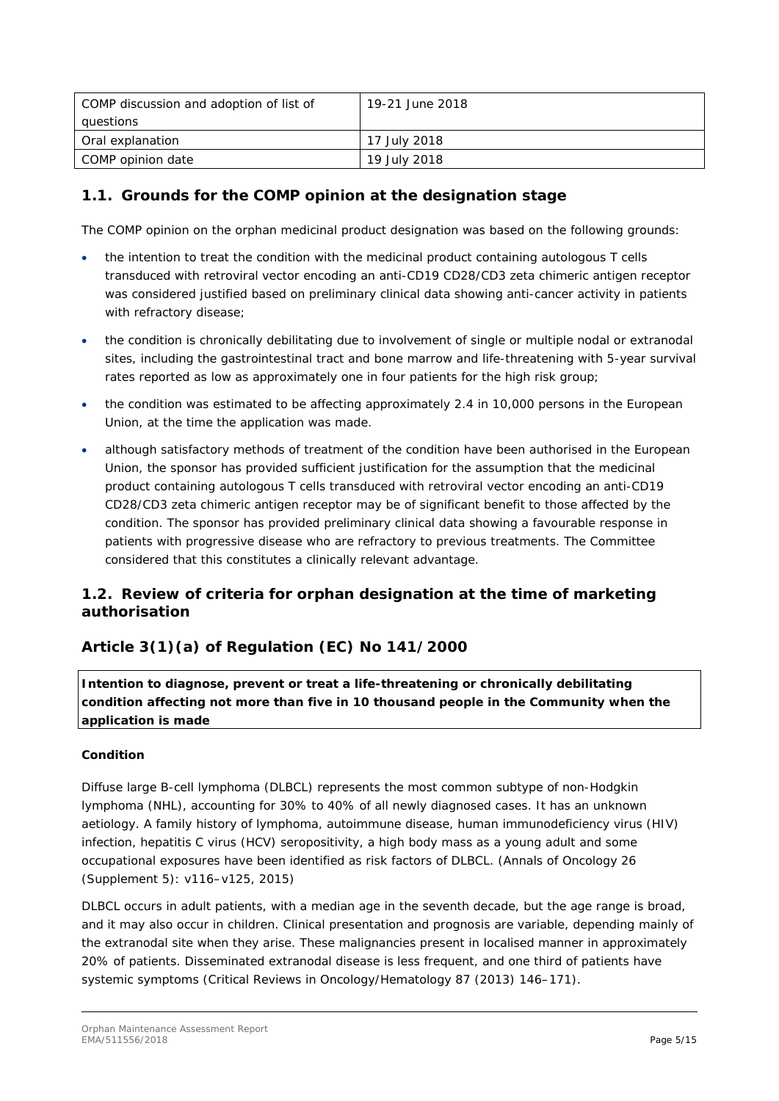| COMP discussion and adoption of list of | 19-21 June 2018 |
|-----------------------------------------|-----------------|
| questions                               |                 |
| Oral explanation                        | 17 July 2018    |
| COMP opinion date                       | 19 July 2018    |

## <span id="page-4-0"></span>*1.1. Grounds for the COMP opinion at the designation stage*

The COMP opinion on the orphan medicinal product designation was based on the following grounds:

- the intention to treat the condition with the medicinal product containing autologous T cells transduced with retroviral vector encoding an anti-CD19 CD28/CD3 zeta chimeric antigen receptor was considered justified based on preliminary clinical data showing anti-cancer activity in patients with refractory disease;
- the condition is chronically debilitating due to involvement of single or multiple nodal or extranodal sites, including the gastrointestinal tract and bone marrow and life-threatening with 5-year survival rates reported as low as approximately one in four patients for the high risk group;
- the condition was estimated to be affecting approximately 2.4 in 10,000 persons in the European Union, at the time the application was made.
- although satisfactory methods of treatment of the condition have been authorised in the European Union, the sponsor has provided sufficient justification for the assumption that the medicinal product containing autologous T cells transduced with retroviral vector encoding an anti-CD19 CD28/CD3 zeta chimeric antigen receptor may be of significant benefit to those affected by the condition. The sponsor has provided preliminary clinical data showing a favourable response in patients with progressive disease who are refractory to previous treatments. The Committee considered that this constitutes a clinically relevant advantage.

## <span id="page-4-1"></span>*1.2. Review of criteria for orphan designation at the time of marketing authorisation*

## **Article 3(1)(a) of Regulation (EC) No 141/2000**

*Intention to diagnose, prevent or treat a life-threatening or chronically debilitating condition affecting not more than five in 10 thousand people in the Community when the application is made*

### **Condition**

Diffuse large B-cell lymphoma (DLBCL) represents the most common subtype of non-Hodgkin lymphoma (NHL), accounting for 30% to 40% of all newly diagnosed cases. It has an unknown aetiology. A family history of lymphoma, autoimmune disease, human immunodeficiency virus (HIV) infection, hepatitis C virus (HCV) seropositivity, a high body mass as a young adult and some occupational exposures have been identified as risk factors of DLBCL. (Annals of Oncology 26 (Supplement 5): v116–v125, 2015)

DLBCL occurs in adult patients, with a median age in the seventh decade, but the age range is broad, and it may also occur in children. Clinical presentation and prognosis are variable, depending mainly of the extranodal site when they arise. These malignancies present in localised manner in approximately 20% of patients. Disseminated extranodal disease is less frequent, and one third of patients have systemic symptoms (Critical Reviews in Oncology/Hematology 87 (2013) 146–171).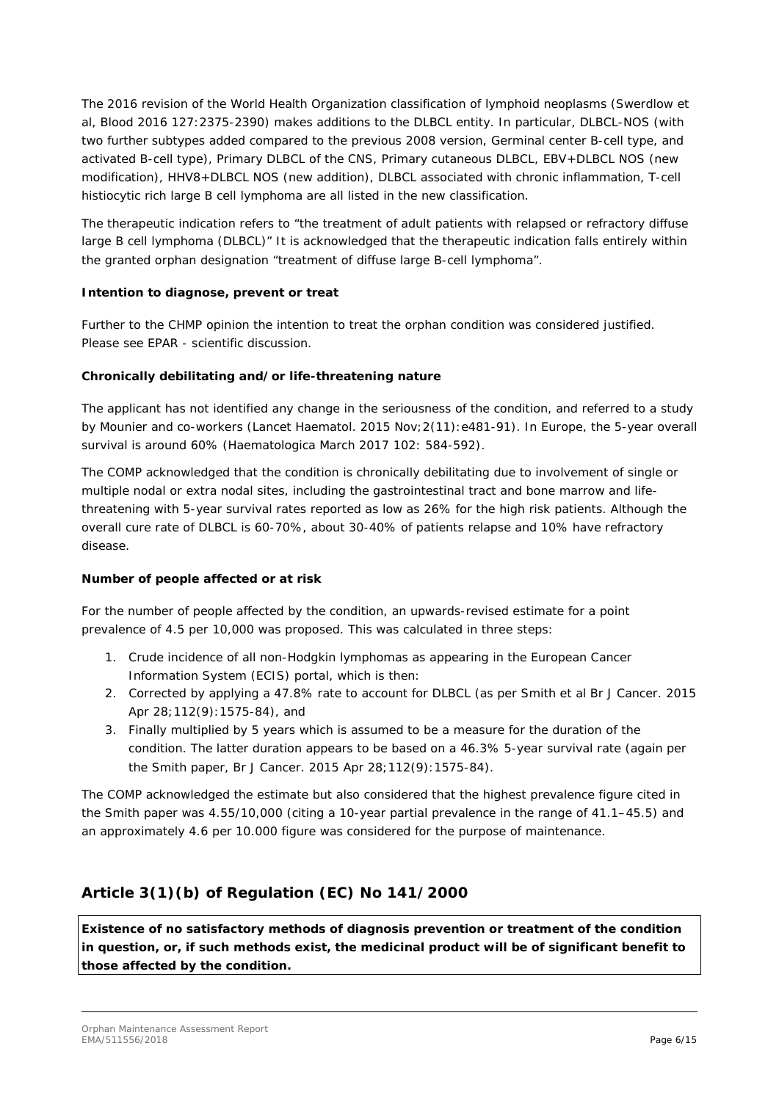The 2016 revision of the World Health Organization classification of lymphoid neoplasms (Swerdlow et al, Blood 2016 127:2375-2390) makes additions to the DLBCL entity. In particular, DLBCL-NOS (with two further subtypes added compared to the previous 2008 version, Germinal center B-cell type, and activated B-cell type), Primary DLBCL of the CNS, Primary cutaneous DLBCL, EBV+DLBCL NOS (new modification), HHV8+DLBCL NOS (new addition), DLBCL associated with chronic inflammation, T-cell histiocytic rich large B cell lymphoma are all listed in the new classification.

The therapeutic indication refers to "the treatment of adult patients with relapsed or refractory diffuse large B cell lymphoma (DLBCL)" It is acknowledged that the therapeutic indication falls entirely within the granted orphan designation "treatment of diffuse large B-cell lymphoma".

### **Intention to diagnose, prevent or treat**

Further to the CHMP opinion the intention to treat the orphan condition was considered justified. Please see EPAR - scientific discussion.

#### **Chronically debilitating and/or life-threatening nature**

The applicant has not identified any change in the seriousness of the condition, and referred to a study by Mounier and co-workers (Lancet Haematol. 2015 Nov;2(11):e481-91). In Europe, the 5-year overall survival is around 60% (Haematologica March 2017 102: 584-592).

The COMP acknowledged that the condition is chronically debilitating due to involvement of single or multiple nodal or extra nodal sites, including the gastrointestinal tract and bone marrow and lifethreatening with 5-year survival rates reported as low as 26% for the high risk patients. Although the overall cure rate of DLBCL is 60-70%, about 30-40% of patients relapse and 10% have refractory disease.

### **Number of people affected or at risk**

For the number of people affected by the condition, an upwards-revised estimate for a point prevalence of 4.5 per 10,000 was proposed. This was calculated in three steps:

- 1. Crude incidence of all non-Hodgkin lymphomas as appearing in the European Cancer Information System (ECIS) portal, which is then:
- 2. Corrected by applying a 47.8% rate to account for DLBCL (as per Smith et al Br J Cancer. 2015 Apr 28;112(9):1575-84), and
- 3. Finally multiplied by 5 years which is assumed to be a measure for the duration of the condition. The latter duration appears to be based on a 46.3% 5-year survival rate (again per the Smith paper, Br J Cancer. 2015 Apr 28;112(9):1575-84).

The COMP acknowledged the estimate but also considered that the highest prevalence figure cited in the Smith paper was 4.55/10,000 (citing a 10-year partial prevalence in the range of 41.1–45.5) and an approximately 4.6 per 10.000 figure was considered for the purpose of maintenance.

## **Article 3(1)(b) of Regulation (EC) No 141/2000**

*Existence of no satisfactory methods of diagnosis prevention or treatment of the condition in question, or, if such methods exist, the medicinal product will be of significant benefit to those affected by the condition.*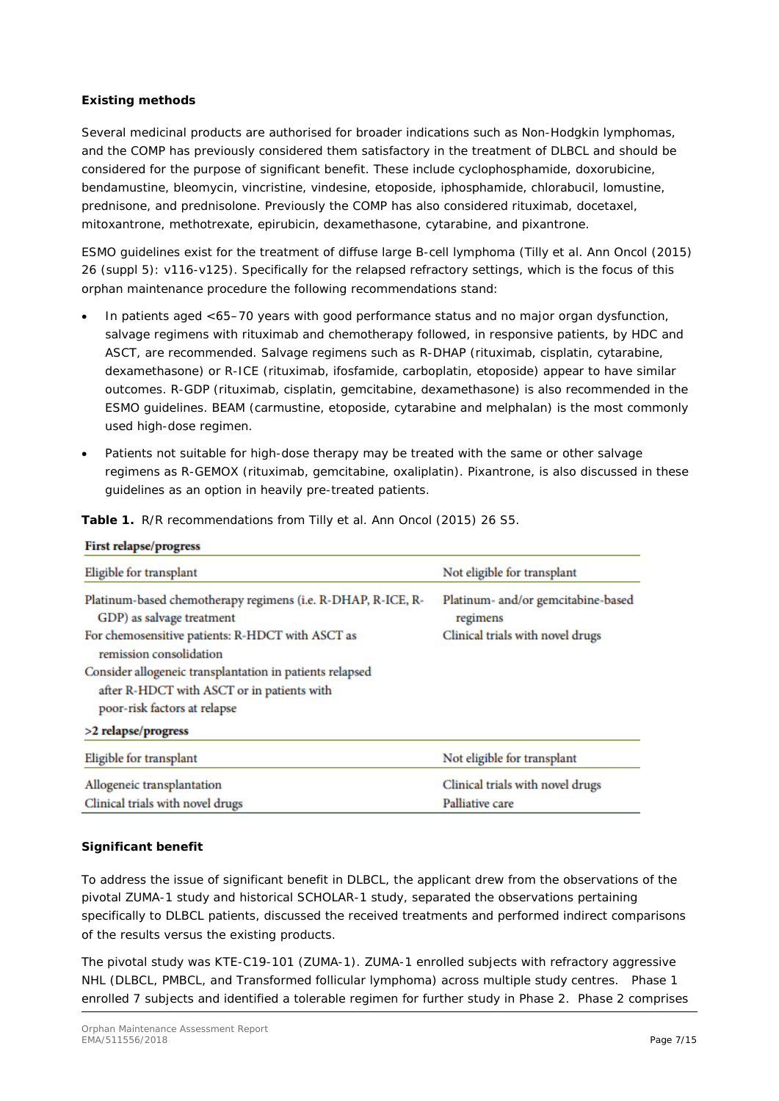#### **Existing methods**

Several medicinal products are authorised for broader indications such as Non-Hodgkin lymphomas, and the COMP has previously considered them satisfactory in the treatment of DLBCL and should be considered for the purpose of significant benefit. These include cyclophosphamide, doxorubicine, bendamustine, bleomycin, vincristine, vindesine, etoposide, iphosphamide, chlorabucil, lomustine, prednisone, and prednisolone. Previously the COMP has also considered rituximab, docetaxel, mitoxantrone, methotrexate, epirubicin, dexamethasone, cytarabine, and pixantrone.

ESMO guidelines exist for the treatment of diffuse large B-cell lymphoma (Tilly et al. Ann Oncol (2015) 26 (suppl 5): v116-v125). Specifically for the relapsed refractory settings, which is the focus of this orphan maintenance procedure the following recommendations stand:

- In patients aged <65–70 years with good performance status and no major organ dysfunction, salvage regimens with rituximab and chemotherapy followed, in responsive patients, by HDC and ASCT, are recommended. Salvage regimens such as R-DHAP (rituximab, cisplatin, cytarabine, dexamethasone) or R-ICE (rituximab, ifosfamide, carboplatin, etoposide) appear to have similar outcomes. R-GDP (rituximab, cisplatin, gemcitabine, dexamethasone) is also recommended in the ESMO guidelines. BEAM (carmustine, etoposide, cytarabine and melphalan) is the most commonly used high-dose regimen.
- Patients not suitable for high-dose therapy may be treated with the same or other salvage regimens as R-GEMOX (rituximab, gemcitabine, oxaliplatin). Pixantrone, is also discussed in these guidelines as an option in heavily pre-treated patients.

| Eligible for transplant                                                                                         | Not eligible for transplant                    |  |
|-----------------------------------------------------------------------------------------------------------------|------------------------------------------------|--|
| Platinum-based chemotherapy regimens (i.e. R-DHAP, R-ICE, R-<br>GDP) as salvage treatment                       | Platinum- and/or gemcitabine-based<br>regimens |  |
| For chemosensitive patients: R-HDCT with ASCT as<br>Clinical trials with novel drugs<br>remission consolidation |                                                |  |
| Consider allogeneic transplantation in patients relapsed                                                        |                                                |  |
| after R-HDCT with ASCT or in patients with                                                                      |                                                |  |
| poor-risk factors at relapse                                                                                    |                                                |  |
| >2 relapse/progress                                                                                             |                                                |  |
| Eligible for transplant                                                                                         | Not eligible for transplant                    |  |
| Allogeneic transplantation                                                                                      | Clinical trials with novel drugs               |  |
| Clinical trials with novel drugs                                                                                | Palliative care                                |  |

**Table 1.** R/R recommendations from Tilly et al. Ann Oncol (2015) 26 S5.

### **Significant benefit**

**First relapse/progress** 

To address the issue of significant benefit in DLBCL, the applicant drew from the observations of the pivotal ZUMA-1 study and historical SCHOLAR-1 study, separated the observations pertaining specifically to DLBCL patients, discussed the received treatments and performed indirect comparisons of the results versus the existing products.

The pivotal study was KTE-C19-101 (ZUMA-1). ZUMA-1 enrolled subjects with refractory aggressive NHL (DLBCL, PMBCL, and Transformed follicular lymphoma) across multiple study centres. Phase 1 enrolled 7 subjects and identified a tolerable regimen for further study in Phase 2. Phase 2 comprises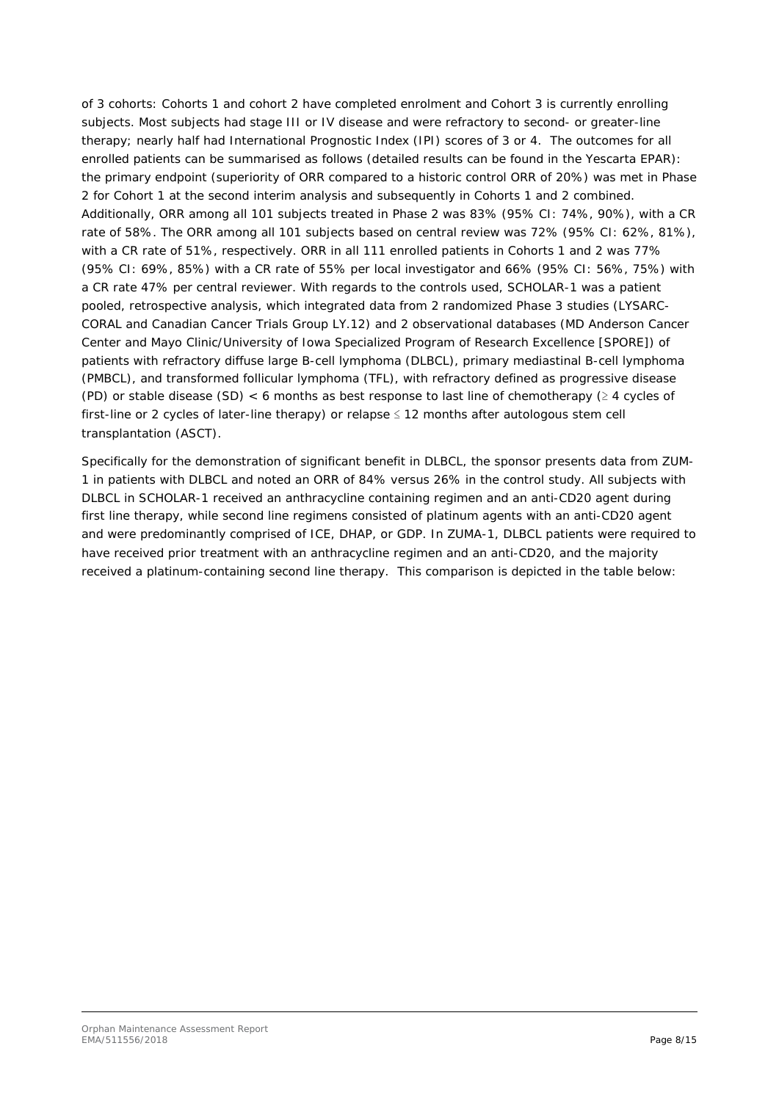of 3 cohorts: Cohorts 1 and cohort 2 have completed enrolment and Cohort 3 is currently enrolling subjects. Most subjects had stage III or IV disease and were refractory to second- or greater-line therapy; nearly half had International Prognostic Index (IPI) scores of 3 or 4. The outcomes for all enrolled patients can be summarised as follows (detailed results can be found in the Yescarta EPAR): the primary endpoint (superiority of ORR compared to a historic control ORR of 20%) was met in Phase 2 for Cohort 1 at the second interim analysis and subsequently in Cohorts 1 and 2 combined. Additionally, ORR among all 101 subjects treated in Phase 2 was 83% (95% CI: 74%, 90%), with a CR rate of 58%. The ORR among all 101 subjects based on central review was 72% (95% CI: 62%, 81%), with a CR rate of 51%, respectively. ORR in all 111 enrolled patients in Cohorts 1 and 2 was 77% (95% CI: 69%, 85%) with a CR rate of 55% per local investigator and 66% (95% CI: 56%, 75%) with a CR rate 47% per central reviewer. With regards to the controls used, SCHOLAR-1 was a patient pooled, retrospective analysis, which integrated data from 2 randomized Phase 3 studies (LYSARC-CORAL and Canadian Cancer Trials Group LY.12) and 2 observational databases (MD Anderson Cancer Center and Mayo Clinic/University of Iowa Specialized Program of Research Excellence [SPORE]) of patients with refractory diffuse large B-cell lymphoma (DLBCL), primary mediastinal B-cell lymphoma (PMBCL), and transformed follicular lymphoma (TFL), with refractory defined as progressive disease (PD) or stable disease (SD) < 6 months as best response to last line of chemotherapy ( $\geq 4$  cycles of first-line or 2 cycles of later-line therapy) or relapse ≤ 12 months after autologous stem cell transplantation (ASCT).

Specifically for the demonstration of significant benefit in DLBCL, the sponsor presents data from ZUM-1 in patients with DLBCL and noted an ORR of 84% versus 26% in the control study. All subjects with DLBCL in SCHOLAR-1 received an anthracycline containing regimen and an anti-CD20 agent during first line therapy, while second line regimens consisted of platinum agents with an anti-CD20 agent and were predominantly comprised of ICE, DHAP, or GDP. In ZUMA-1, DLBCL patients were required to have received prior treatment with an anthracycline regimen and an anti-CD20, and the majority received a platinum-containing second line therapy. This comparison is depicted in the table below: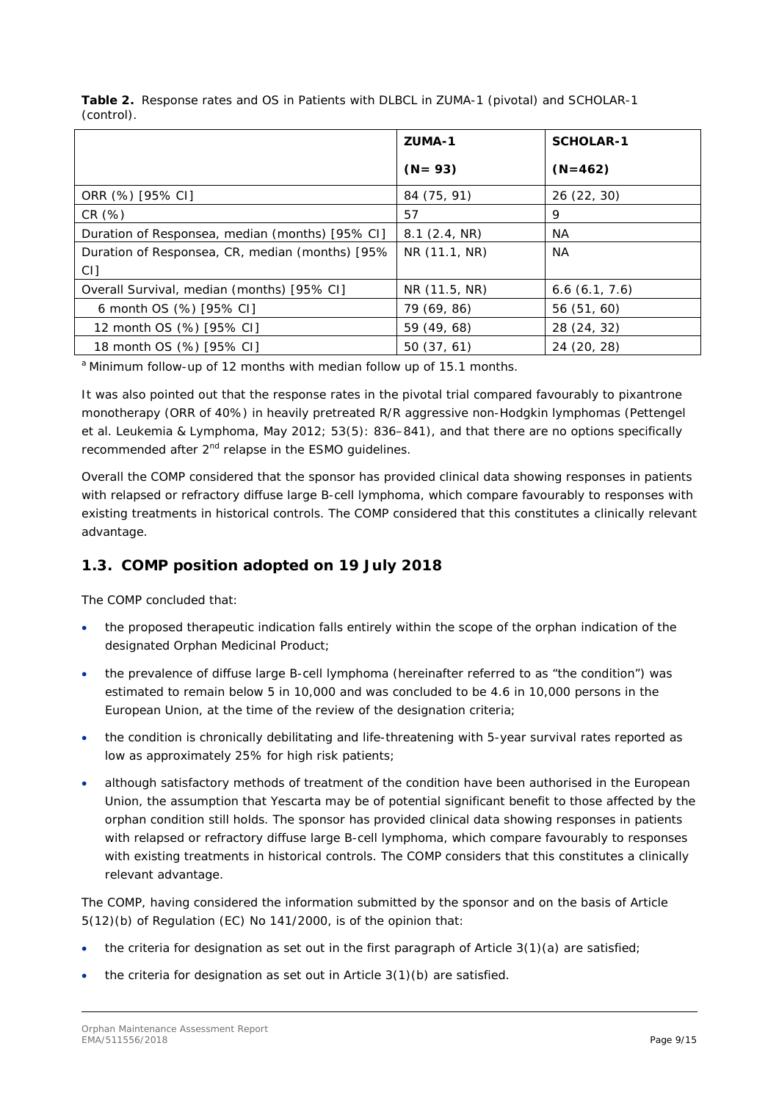|                                                 | ZUMA-1                     | <b>SCHOLAR-1</b> |
|-------------------------------------------------|----------------------------|------------------|
|                                                 | $(N = 93)$                 | $(N=462)$        |
| ORR (%) [95% CI]                                | 84 (75, 91)                | 26 (22, 30)      |
| CR(%)                                           | 57                         | 9                |
| Duration of Responsea, median (months) [95% CI] | 8.1(2.4, NR)               | NА               |
| Duration of Responsea, CR, median (months) [95% | NR (11.1, NR)<br><b>NA</b> |                  |
| CI]                                             |                            |                  |
| Overall Survival, median (months) [95% CI]      | NR (11.5, NR)              | 6.6(6.1, 7.6)    |
| 6 month OS (%) [95% CI]                         | 79 (69, 86)                | 56 (51, 60)      |
| 12 month OS (%) [95% CI]                        | 59 (49, 68)                | 28 (24, 32)      |
| 18 month OS (%) [95% CI]                        | 50(37, 61)                 | 24 (20, 28)      |

**Table 2.** Response rates and OS in Patients with DLBCL in ZUMA-1 (pivotal) and SCHOLAR-1 (control).

<sup>a</sup> Minimum follow-up of 12 months with median follow up of 15.1 months.

It was also pointed out that the response rates in the pivotal trial compared favourably to pixantrone monotherapy (ORR of 40%) in heavily pretreated R/R aggressive non-Hodgkin lymphomas (Pettengel et al. Leukemia & Lymphoma, May 2012; 53(5): 836–841), and that there are no options specifically recommended after  $2^{nd}$  relapse in the ESMO quidelines.

Overall the COMP considered that the sponsor has provided clinical data showing responses in patients with relapsed or refractory diffuse large B-cell lymphoma, which compare favourably to responses with existing treatments in historical controls. The COMP considered that this constitutes a clinically relevant advantage.

## <span id="page-8-0"></span>*1.3. COMP position adopted on 19 July 2018*

The COMP concluded that:

- the proposed therapeutic indication falls entirely within the scope of the orphan indication of the designated Orphan Medicinal Product;
- the prevalence of diffuse large B-cell lymphoma (hereinafter referred to as "the condition") was estimated to remain below 5 in 10,000 and was concluded to be 4.6 in 10,000 persons in the European Union, at the time of the review of the designation criteria;
- the condition is chronically debilitating and life-threatening with 5-year survival rates reported as low as approximately 25% for high risk patients;
- although satisfactory methods of treatment of the condition have been authorised in the European Union, the assumption that Yescarta may be of potential significant benefit to those affected by the orphan condition still holds. The sponsor has provided clinical data showing responses in patients with relapsed or refractory diffuse large B-cell lymphoma, which compare favourably to responses with existing treatments in historical controls. The COMP considers that this constitutes a clinically relevant advantage.

The COMP, having considered the information submitted by the sponsor and on the basis of Article 5(12)(b) of Regulation (EC) No 141/2000, is of the opinion that:

- the criteria for designation as set out in the first paragraph of Article 3(1)(a) are satisfied;
- the criteria for designation as set out in Article  $3(1)(b)$  are satisfied.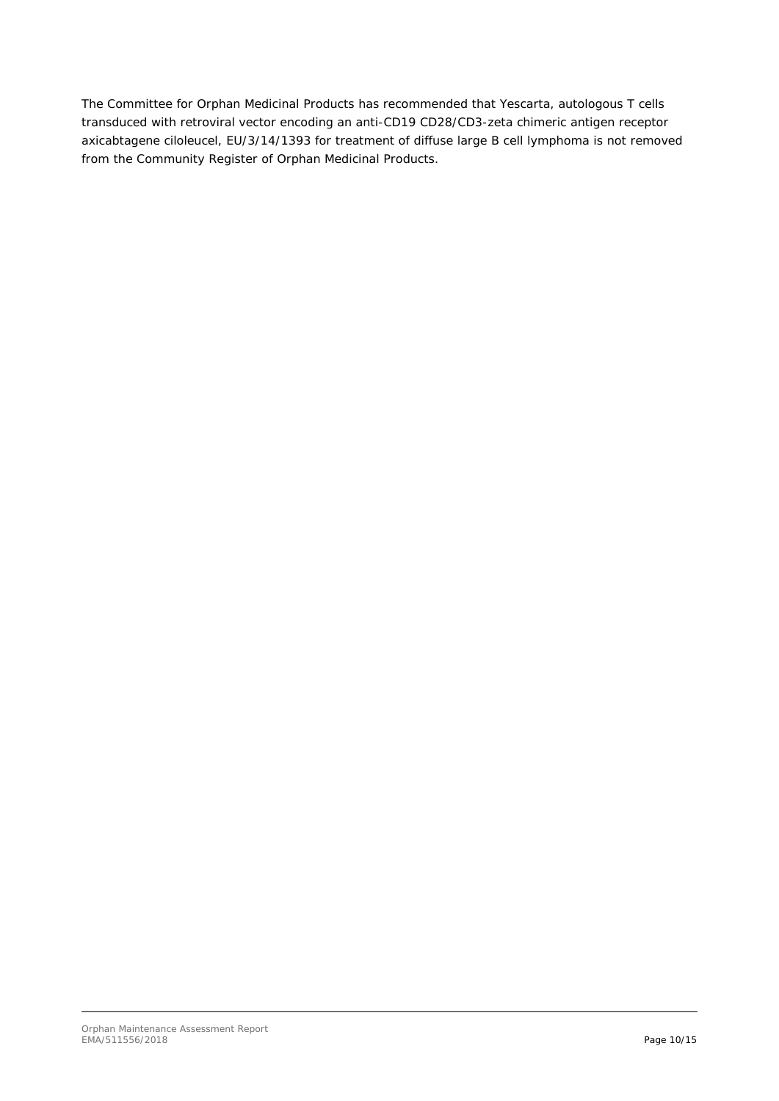The Committee for Orphan Medicinal Products has recommended that Yescarta, autologous T cells transduced with retroviral vector encoding an anti-CD19 CD28/CD3-zeta chimeric antigen receptor axicabtagene ciloleucel, EU/3/14/1393 for treatment of diffuse large B cell lymphoma is not removed from the Community Register of Orphan Medicinal Products.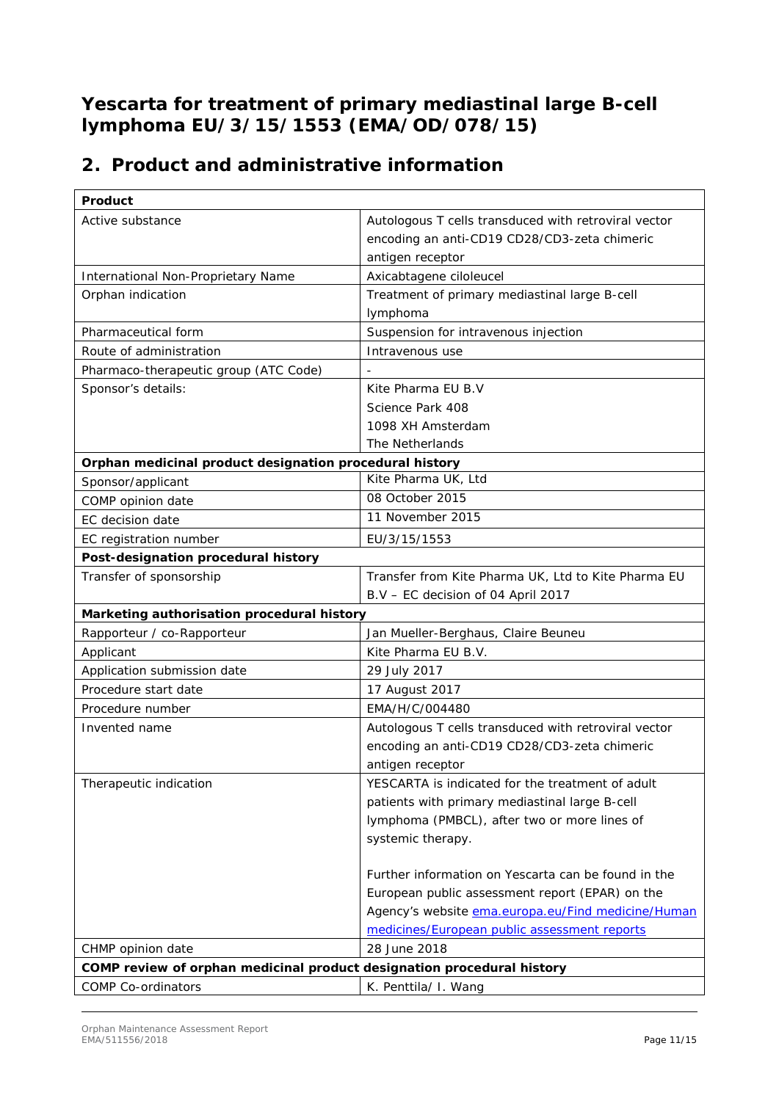## <span id="page-10-0"></span>**Yescarta for treatment of primary mediastinal large B-cell lymphoma EU/3/15/1553 (EMA/OD/078/15)**

# **2. Product and administrative information**

| Product                                                                |                                                      |
|------------------------------------------------------------------------|------------------------------------------------------|
| Active substance                                                       | Autologous T cells transduced with retroviral vector |
|                                                                        | encoding an anti-CD19 CD28/CD3-zeta chimeric         |
|                                                                        | antigen receptor                                     |
| International Non-Proprietary Name                                     | Axicabtagene ciloleucel                              |
| Orphan indication                                                      | Treatment of primary mediastinal large B-cell        |
|                                                                        | lymphoma                                             |
| Pharmaceutical form                                                    | Suspension for intravenous injection                 |
| Route of administration                                                | Intravenous use                                      |
| Pharmaco-therapeutic group (ATC Code)                                  |                                                      |
| Sponsor's details:                                                     | Kite Pharma EU B.V                                   |
|                                                                        | Science Park 408                                     |
|                                                                        | 1098 XH Amsterdam                                    |
|                                                                        | The Netherlands                                      |
| Orphan medicinal product designation procedural history                |                                                      |
| Sponsor/applicant                                                      | Kite Pharma UK, Ltd                                  |
| COMP opinion date                                                      | 08 October 2015                                      |
| EC decision date                                                       | 11 November 2015                                     |
| EC registration number                                                 | EU/3/15/1553                                         |
| Post-designation procedural history                                    |                                                      |
| Transfer of sponsorship                                                | Transfer from Kite Pharma UK, Ltd to Kite Pharma EU  |
|                                                                        | B.V - EC decision of 04 April 2017                   |
| Marketing authorisation procedural history                             |                                                      |
| Rapporteur / co-Rapporteur                                             | Jan Mueller-Berghaus, Claire Beuneu                  |
| Applicant                                                              | Kite Pharma EU B.V.                                  |
| Application submission date                                            | 29 July 2017                                         |
| Procedure start date                                                   | 17 August 2017                                       |
| Procedure number                                                       | EMA/H/C/004480                                       |
| Invented name                                                          | Autologous T cells transduced with retroviral vector |
|                                                                        | encoding an anti-CD19 CD28/CD3-zeta chimeric         |
|                                                                        | antigen receptor                                     |
| Therapeutic indication                                                 | YESCARTA is indicated for the treatment of adult     |
|                                                                        | patients with primary mediastinal large B-cell       |
|                                                                        | lymphoma (PMBCL), after two or more lines of         |
|                                                                        | systemic therapy.                                    |
|                                                                        |                                                      |
|                                                                        | Further information on Yescarta can be found in the  |
|                                                                        | European public assessment report (EPAR) on the      |
|                                                                        | Agency's website ema.europa.eu/Find medicine/Human   |
|                                                                        | medicines/European public assessment reports         |
| CHMP opinion date                                                      | 28 June 2018                                         |
| COMP review of orphan medicinal product designation procedural history |                                                      |
| <b>COMP Co-ordinators</b>                                              | K. Penttila/ I. Wang                                 |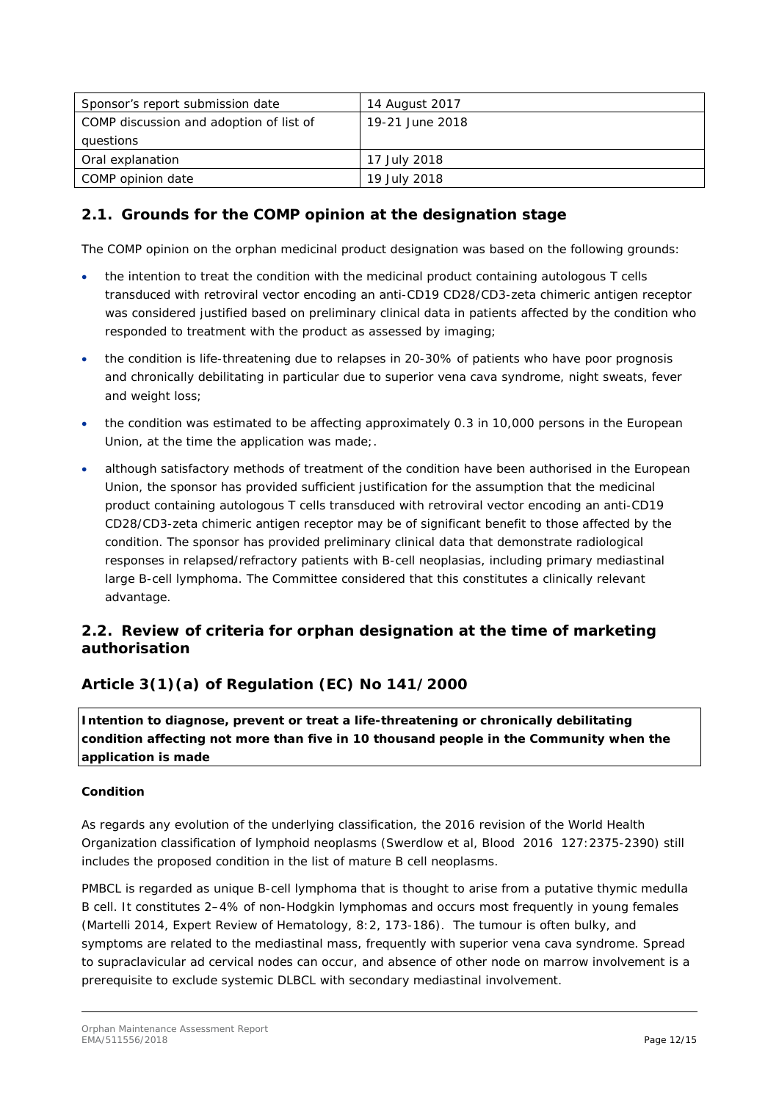| Sponsor's report submission date        | 14 August 2017  |
|-----------------------------------------|-----------------|
| COMP discussion and adoption of list of | 19-21 June 2018 |
| questions                               |                 |
| Oral explanation                        | 17 July 2018    |
| COMP opinion date                       | 19 July 2018    |

## <span id="page-11-0"></span>*2.1. Grounds for the COMP opinion at the designation stage*

The COMP opinion on the orphan medicinal product designation was based on the following grounds:

- the intention to treat the condition with the medicinal product containing autologous T cells transduced with retroviral vector encoding an anti-CD19 CD28/CD3-zeta chimeric antigen receptor was considered justified based on preliminary clinical data in patients affected by the condition who responded to treatment with the product as assessed by imaging;
- the condition is life-threatening due to relapses in 20-30% of patients who have poor prognosis and chronically debilitating in particular due to superior vena cava syndrome, night sweats, fever and weight loss;
- the condition was estimated to be affecting approximately 0.3 in 10,000 persons in the European Union, at the time the application was made;.
- although satisfactory methods of treatment of the condition have been authorised in the European Union, the sponsor has provided sufficient justification for the assumption that the medicinal product containing autologous T cells transduced with retroviral vector encoding an anti-CD19 CD28/CD3-zeta chimeric antigen receptor may be of significant benefit to those affected by the condition. The sponsor has provided preliminary clinical data that demonstrate radiological responses in relapsed/refractory patients with B-cell neoplasias, including primary mediastinal large B-cell lymphoma. The Committee considered that this constitutes a clinically relevant advantage.

## <span id="page-11-1"></span>2.2. Review of criteria for orphan designation at the time of marketing *authorisation*

## **Article 3(1)(a) of Regulation (EC) No 141/2000**

Intention to diagnose, prevent or treat a life-threatening or chronically debilitating *condition affecting not more than five in 10 thousand people in the Community when the application is made*

### **Condition**

As regards any evolution of the underlying classification, the 2016 revision of the World Health Organization classification of lymphoid neoplasms (Swerdlow et al, Blood 2016 127:2375-2390) still includes the proposed condition in the list of mature B cell neoplasms.

PMBCL is regarded as unique B-cell lymphoma that is thought to arise from a putative thymic medulla B cell. It constitutes 2–4% of non-Hodgkin lymphomas and occurs most frequently in young females (Martelli 2014, Expert Review of Hematology, 8:2, 173-186). The tumour is often bulky, and symptoms are related to the mediastinal mass, frequently with superior vena cava syndrome. Spread to supraclavicular ad cervical nodes can occur, and absence of other node on marrow involvement is a prerequisite to exclude systemic DLBCL with secondary mediastinal involvement.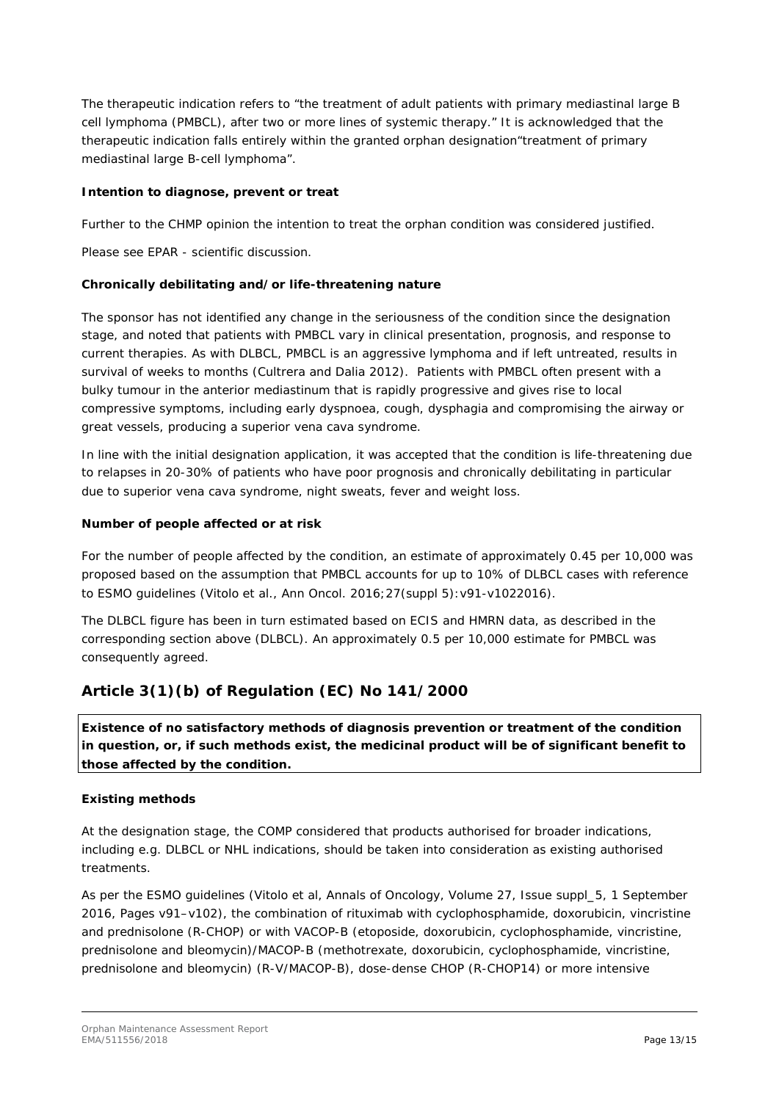The therapeutic indication refers to "the treatment of adult patients with primary mediastinal large B cell lymphoma (PMBCL), after two or more lines of systemic therapy." It is acknowledged that the therapeutic indication falls entirely within the granted orphan designation"treatment of primary mediastinal large B-cell lymphoma".

### **Intention to diagnose, prevent or treat**

Further to the CHMP opinion the intention to treat the orphan condition was considered justified.

Please see EPAR - scientific discussion.

### **Chronically debilitating and/or life-threatening nature**

The sponsor has not identified any change in the seriousness of the condition since the designation stage, and noted that patients with PMBCL vary in clinical presentation, prognosis, and response to current therapies. As with DLBCL, PMBCL is an aggressive lymphoma and if left untreated, results in survival of weeks to months (Cultrera and Dalia 2012). Patients with PMBCL often present with a bulky tumour in the anterior mediastinum that is rapidly progressive and gives rise to local compressive symptoms, including early dyspnoea, cough, dysphagia and compromising the airway or great vessels, producing a superior vena cava syndrome.

In line with the initial designation application, it was accepted that the condition is life-threatening due to relapses in 20-30% of patients who have poor prognosis and chronically debilitating in particular due to superior vena cava syndrome, night sweats, fever and weight loss.

### **Number of people affected or at risk**

For the number of people affected by the condition, an estimate of approximately 0.45 per 10,000 was proposed based on the assumption that PMBCL accounts for up to 10% of DLBCL cases with reference to ESMO guidelines (Vitolo et al., Ann Oncol. 2016;27(suppl 5):v91-v1022016).

The DLBCL figure has been in turn estimated based on ECIS and HMRN data, as described in the corresponding section above (DLBCL). An approximately 0.5 per 10,000 estimate for PMBCL was consequently agreed.

## **Article 3(1)(b) of Regulation (EC) No 141/2000**

*Existence of no satisfactory methods of diagnosis prevention or treatment of the condition in question, or, if such methods exist, the medicinal product will be of significant benefit to those affected by the condition.*

### **Existing methods**

At the designation stage, the COMP considered that products authorised for broader indications, including e.g. DLBCL or NHL indications, should be taken into consideration as existing authorised treatments.

As per the ESMO guidelines (Vitolo et al, Annals of Oncology, Volume 27, Issue suppl\_5, 1 September 2016, Pages v91–v102), the combination of rituximab with cyclophosphamide, doxorubicin, vincristine and prednisolone (R-CHOP) or with VACOP-B (etoposide, doxorubicin, cyclophosphamide, vincristine, prednisolone and bleomycin)/MACOP-B (methotrexate, doxorubicin, cyclophosphamide, vincristine, prednisolone and bleomycin) (R-V/MACOP-B), dose-dense CHOP (R-CHOP14) or more intensive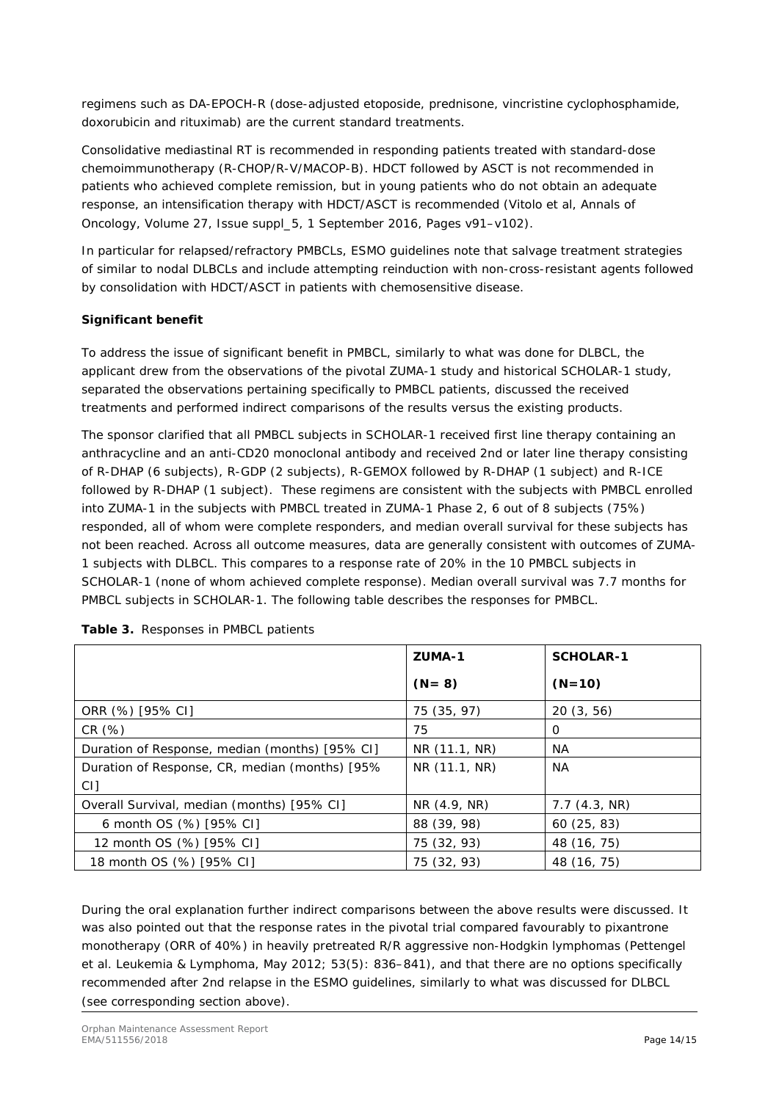regimens such as DA-EPOCH-R (dose-adjusted etoposide, prednisone, vincristine cyclophosphamide, doxorubicin and rituximab) are the current standard treatments.

Consolidative mediastinal RT is recommended in responding patients treated with standard-dose chemoimmunotherapy (R-CHOP/R-V/MACOP-B). HDCT followed by ASCT is not recommended in patients who achieved complete remission, but in young patients who do not obtain an adequate response, an intensification therapy with HDCT/ASCT is recommended (Vitolo et al, Annals of Oncology, Volume 27, Issue suppl\_5, 1 September 2016, Pages v91–v102).

In particular for relapsed/refractory PMBCLs, ESMO guidelines note that salvage treatment strategies of similar to nodal DLBCLs and include attempting reinduction with non-cross-resistant agents followed by consolidation with HDCT/ASCT in patients with chemosensitive disease.

### **Significant benefit**

To address the issue of significant benefit in PMBCL, similarly to what was done for DLBCL, the applicant drew from the observations of the pivotal ZUMA-1 study and historical SCHOLAR-1 study, separated the observations pertaining specifically to PMBCL patients, discussed the received treatments and performed indirect comparisons of the results versus the existing products.

The sponsor clarified that all PMBCL subjects in SCHOLAR-1 received first line therapy containing an anthracycline and an anti-CD20 monoclonal antibody and received 2nd or later line therapy consisting of R-DHAP (6 subjects), R-GDP (2 subjects), R-GEMOX followed by R-DHAP (1 subject) and R-ICE followed by R-DHAP (1 subject). These regimens are consistent with the subjects with PMBCL enrolled into ZUMA-1 in the subjects with PMBCL treated in ZUMA-1 Phase 2, 6 out of 8 subjects (75%) responded, all of whom were complete responders, and median overall survival for these subjects has not been reached. Across all outcome measures, data are generally consistent with outcomes of ZUMA-1 subjects with DLBCL. This compares to a response rate of 20% in the 10 PMBCL subjects in SCHOLAR-1 (none of whom achieved complete response). Median overall survival was 7.7 months for PMBCL subjects in SCHOLAR-1. The following table describes the responses for PMBCL.

|                                                | ZUMA-1        | <b>SCHOLAR-1</b> |
|------------------------------------------------|---------------|------------------|
|                                                | $(N = 8)$     | $(N=10)$         |
| ORR (%) [95% CI]                               | 75 (35, 97)   | 20(3, 56)        |
| CR(%)                                          | 75            | 0                |
| Duration of Response, median (months) [95% CI] | NR (11.1, NR) | NA.              |
| Duration of Response, CR, median (months) [95% | NR (11.1, NR) | <b>NA</b>        |
| CI]                                            |               |                  |
| Overall Survival, median (months) [95% CI]     | NR (4.9, NR)  | 7.7(4.3, NR)     |
| 6 month OS (%) [95% CI]                        | 88 (39, 98)   | 60(25, 83)       |
| 12 month OS (%) [95% CI]                       | 75 (32, 93)   | 48 (16, 75)      |
| 18 month OS (%) [95% CI]                       | 75 (32, 93)   | 48 (16, 75)      |

| Table 3. Responses in PMBCL patients |  |  |
|--------------------------------------|--|--|
|                                      |  |  |

During the oral explanation further indirect comparisons between the above results were discussed. It was also pointed out that the response rates in the pivotal trial compared favourably to pixantrone monotherapy (ORR of 40%) in heavily pretreated R/R aggressive non-Hodgkin lymphomas (Pettengel et al. Leukemia & Lymphoma, May 2012; 53(5): 836–841), and that there are no options specifically recommended after 2nd relapse in the ESMO guidelines, similarly to what was discussed for DLBCL (see corresponding section above).